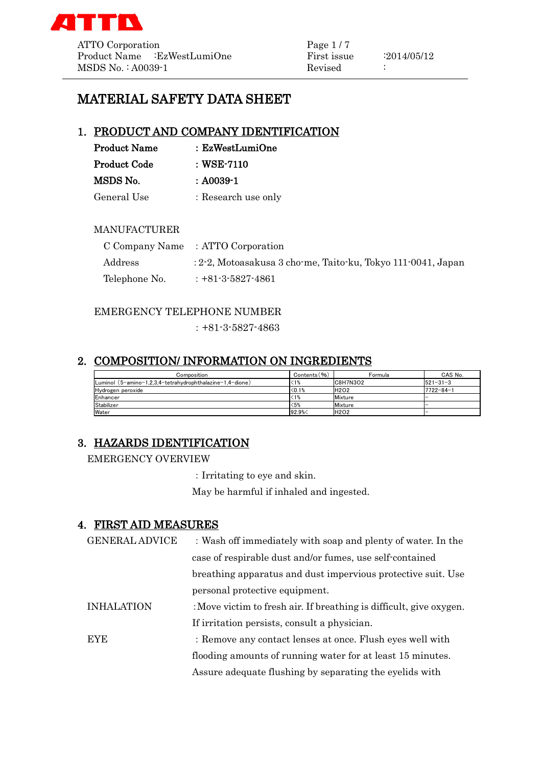

ATTO Corporation Page 1/7 Product Name :EzWestLumiOne First issue :2014/05/12 MSDS No. : A0039-1 Revised :

# MATERIAL SAFETY DATA SHEET

### 1. PRODUCT AND COMPANY IDENTIFICATION

| <b>Product Name</b> | : EzWestLumiOne     |
|---------------------|---------------------|
| <b>Product Code</b> | $\pm$ WSE-7110      |
| MSDS No.            | $: A0039-1$         |
| General Use         | : Research use only |

### MANUFACTURER

|               | C Company Name : ATTO Corporation                               |
|---------------|-----------------------------------------------------------------|
| Address       | $: 2-2$ , Motoasakusa 3 cho-me, Taito-ku, Tokyo 111-0041, Japan |
| Telephone No. | $: +81 - 3 - 5827 - 4861$                                       |

### EMERGENCY TELEPHONE NUMBER

:+81-3-5827-4863

## 2. COMPOSITION/ INFORMATION ON INGREDIENTS

| Composition                                               | Contents (%) | Formula     | CAS No.         |
|-----------------------------------------------------------|--------------|-------------|-----------------|
| Luminol (5-amino-1,2,3,4-tetrahydrophthalazine-1,4-dione) | (1%          | C8H7N3O2    | $521 - 31 - 3$  |
| Hydrogen peroxide                                         | < 0.1%       | <b>H2O2</b> | $7722 - 84 - 1$ |
| Enhancer                                                  |              | Mixture     | -               |
| Stabilizer                                                | $5%$         | Mixture     | -               |
| Water                                                     | 92.9%<       | <b>H2O2</b> |                 |

# 3. HAZARDS IDENTIFICATION

#### EMERGENCY OVERVIEW

:Irritating to eye and skin.

May be harmful if inhaled and ingested.

### 4. FIRST AID MEASURES

| <b>GENERAL ADVICE</b> | : Wash off immediately with soap and plenty of water. In the        |
|-----------------------|---------------------------------------------------------------------|
|                       | case of respirable dust and/or fumes, use self-contained            |
|                       | breathing apparatus and dust impervious protective suit. Use        |
|                       | personal protective equipment.                                      |
| <b>INHALATION</b>     | : Move victim to fresh air. If breathing is difficult, give oxygen. |
|                       | If irritation persists, consult a physician.                        |
| <b>EYE</b>            | : Remove any contact lenses at once. Flush eyes well with           |
|                       | flooding amounts of running water for at least 15 minutes.          |
|                       | Assure adequate flushing by separating the eyelids with             |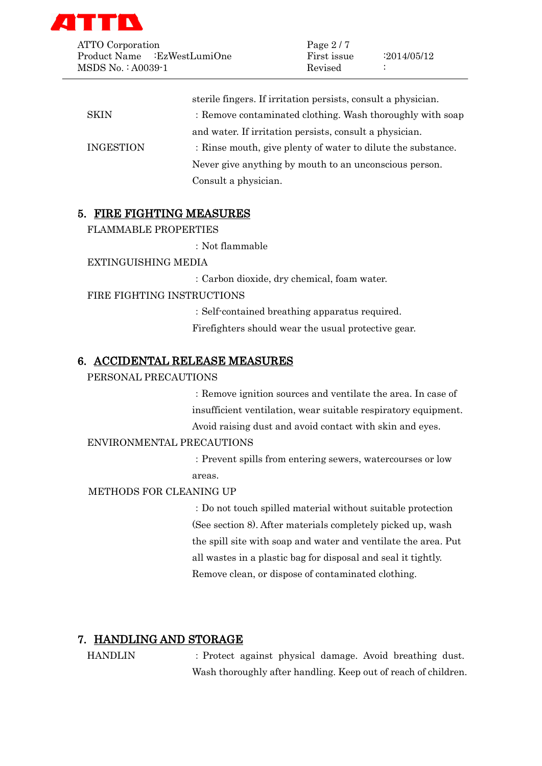

ATTO Corporation Page 2/7 Product Name :EzWestLumiOne First issue :2014/05/12 MSDS No. : A0039-1 Revised :

|                  | sterile fingers. If irritation persists, consult a physician. |
|------------------|---------------------------------------------------------------|
| <b>SKIN</b>      | : Remove contaminated clothing. Wash thoroughly with soap     |
|                  | and water. If irritation persists, consult a physician.       |
| <b>INGESTION</b> | : Rinse mouth, give plenty of water to dilute the substance.  |
|                  | Never give anything by mouth to an unconscious person.        |
|                  | Consult a physician.                                          |

### 5. FIRE FIGHTING MEASURES

FLAMMABLE PROPERTIES

:Not flammable

EXTINGUISHING MEDIA

:Carbon dioxide, dry chemical, foam water.

#### FIRE FIGHTING INSTRUCTIONS

:Self-contained breathing apparatus required. Firefighters should wear the usual protective gear.

#### 6. ACCIDENTAL RELEASE MEASURES

#### PERSONAL PRECAUTIONS

:Remove ignition sources and ventilate the area. In case of insufficient ventilation, wear suitable respiratory equipment. Avoid raising dust and avoid contact with skin and eyes.

#### ENVIRONMENTAL PRECAUTIONS

:Prevent spills from entering sewers, watercourses or low areas.

METHODS FOR CLEANING UP

:Do not touch spilled material without suitable protection (See section 8). After materials completely picked up, wash the spill site with soap and water and ventilate the area. Put all wastes in a plastic bag for disposal and seal it tightly. Remove clean, or dispose of contaminated clothing.

#### 7. HANDLING AND STORAGE

HANDLIN :Protect against physical damage. Avoid breathing dust. Wash thoroughly after handling. Keep out of reach of children.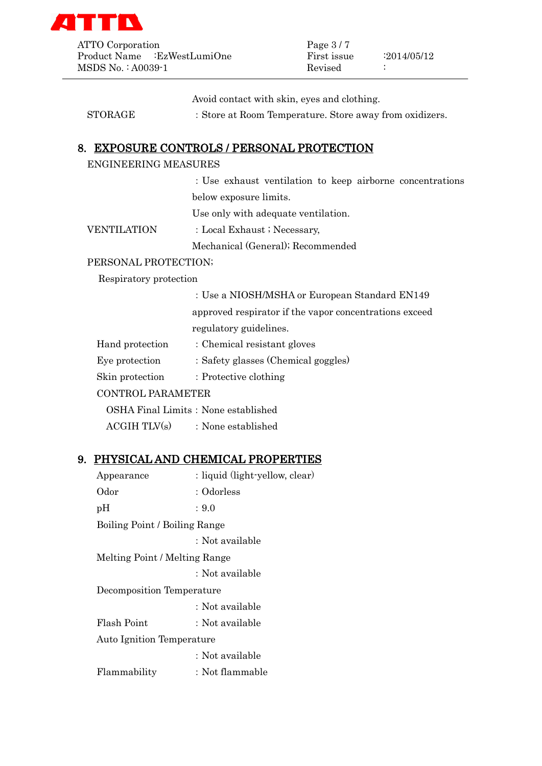

ATTO Corporation Page 3/7 Product Name :EzWestLumiOne First issue :2014/05/12 MSDS No. : A0039-1 Revised :

Avoid contact with skin, eyes and clothing.

STORAGE : Store at Room Temperature. Store away from oxidizers.

### 8. EXPOSURE CONTROLS / PERSONAL PROTECTION

### ENGINEERING MEASURES

:Use exhaust ventilation to keep airborne concentrations below exposure limits.

Use only with adequate ventilation.

VENTILATION : Local Exhaust ; Necessary,

Mechanical (General); Recommended

#### PERSONAL PROTECTION;

#### Respiratory protection

:Use a NIOSH/MSHA or European Standard EN149

approved respirator if the vapor concentrations exceed regulatory guidelines.

- Hand protection : Chemical resistant gloves
- Eye protection : Safety glasses (Chemical goggles)
- Skin protection : Protective clothing

#### CONTROL PARAMETER

OSHA Final Limits: None established

 $ACGIH TLY(s)$  : None established

### 9. PHYSICAL AND CHEMICAL PROPERTIES

| Appearance                       | : liquid (light-yellow, clear) |
|----------------------------------|--------------------------------|
| Odor                             | : Odorless                     |
| pН                               | : 9.0                          |
| Boiling Point / Boiling Range    |                                |
|                                  | : Not available                |
| Melting Point / Melting Range    |                                |
|                                  | : Not available                |
| Decomposition Temperature        |                                |
|                                  | : Not available                |
| Flash Point                      | : Not available                |
| <b>Auto Ignition Temperature</b> |                                |
|                                  | : Not available                |
| Flammability                     | : Not flammable                |
|                                  |                                |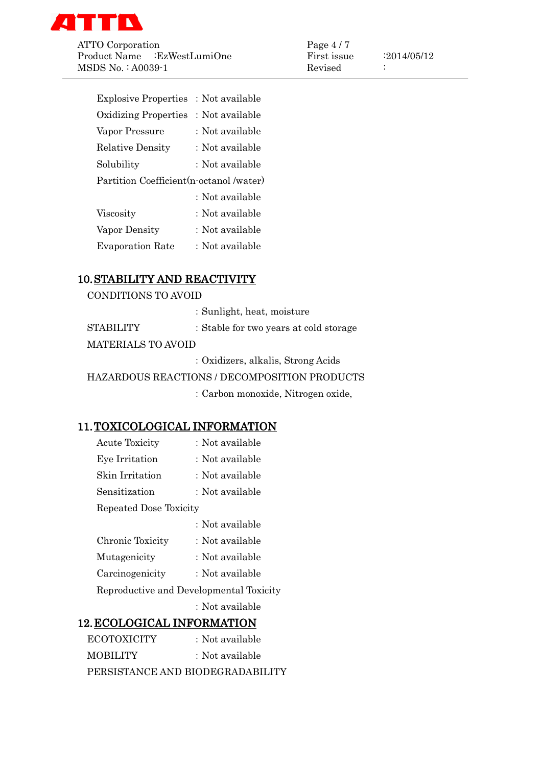

ATTO Corporation Page 4 / 7<br>Product Name EzWestLumiOne First issue Product Name :EzWestLumiOne First issue :2014/05/12 MSDS No.: A0039-1 Revised :

| <b>Explosive Properties</b>             | : Not available |
|-----------------------------------------|-----------------|
| <b>Oxidizing Properties</b>             | : Not available |
| Vapor Pressure                          | : Not available |
| Relative Density                        | : Not available |
| Solubility                              | : Not available |
| Partition Coefficient(n-octanol /water) |                 |
|                                         | : Not available |
| Viscosity                               | : Not available |
| Vapor Density                           | : Not available |
| <b>Evaporation Rate</b>                 | : Not available |

# 10.STABILITY AND REACTIVITY

|                           | : Sunlight, heat, moisture                   |
|---------------------------|----------------------------------------------|
| <b>STABILITY</b>          | : Stable for two years at cold storage       |
| <b>MATERIALS TO AVOID</b> |                                              |
|                           | : Oxidizers, alkalis, Strong Acids           |
|                           | HAZARDOUS REACTIONS / DECOMPOSITION PRODUCTS |
|                           | : Carbon monoxide, Nitrogen oxide,           |

## 11.TOXICOLOGICAL INFORMATION

| <b>Acute Toxicity</b>             | : Not available                         |
|-----------------------------------|-----------------------------------------|
| Eye Irritation                    | : Not available                         |
| Skin Irritation                   | : Not available                         |
| Sensitization                     | : Not available                         |
| Repeated Dose Toxicity            |                                         |
|                                   | : Not available                         |
| Chronic Toxicity                  | : Not available                         |
| Mutagenicity                      | : Not available                         |
| Carcinogenicity                   | : Not available                         |
|                                   | Reproductive and Developmental Toxicity |
|                                   | : Not available                         |
| <b>12. ECOLOGICAL INFORMATION</b> |                                         |
| <b>ECOTOXICITY</b>                | : Not available                         |
| MOBILITY                          | : Not available                         |

PERSISTANCE AND BIODEGRADABILITY